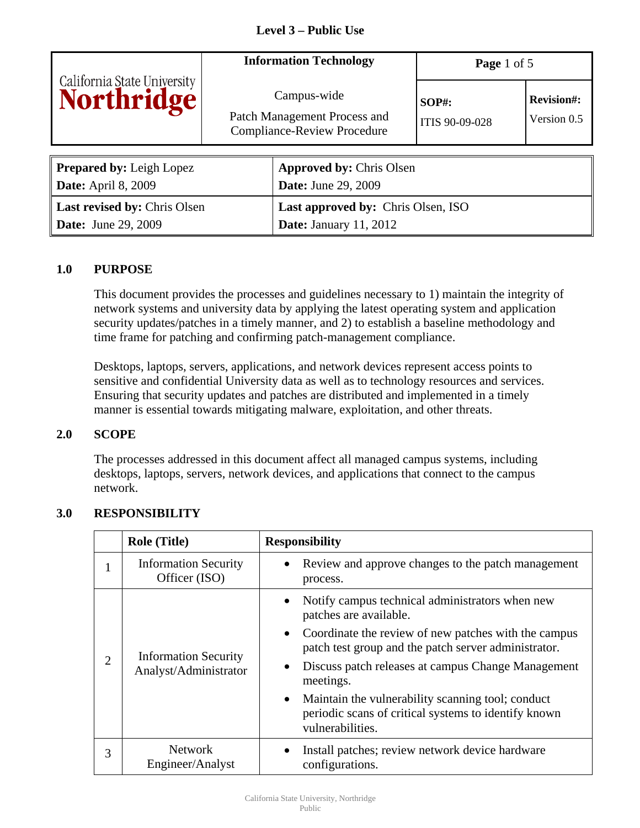| California State University     | <b>Information Technology</b>                                                     | Page 1 of 5                |                                  |
|---------------------------------|-----------------------------------------------------------------------------------|----------------------------|----------------------------------|
|                                 | Campus-wide<br>Patch Management Process and<br><b>Compliance-Review Procedure</b> | $SOP#$ :<br>ITIS 90-09-028 | <b>Revision#:</b><br>Version 0.5 |
|                                 |                                                                                   |                            |                                  |
| <b>Prepared by: Leigh Lopez</b> | <b>Approved by: Chris Olsen</b>                                                   |                            |                                  |

| <b>Date:</b> April 8, 2009          | <b>Date:</b> June 29, 2009                |
|-------------------------------------|-------------------------------------------|
| <b>Last revised by: Chris Olsen</b> | <b>Last approved by: Chris Olsen, ISO</b> |
| <b>Date:</b> June 29, 2009          | <b>Date:</b> January 11, 2012             |

# **1.0 PURPOSE**

This document provides the processes and guidelines necessary to 1) maintain the integrity of network systems and university data by applying the latest operating system and application security updates/patches in a timely manner, and 2) to establish a baseline methodology and time frame for patching and confirming patch-management compliance.

Desktops, laptops, servers, applications, and network devices represent access points to sensitive and confidential University data as well as to technology resources and services. Ensuring that security updates and patches are distributed and implemented in a timely manner is essential towards mitigating malware, exploitation, and other threats.

#### **2.0 SCOPE**

The processes addressed in this document affect all managed campus systems, including desktops, laptops, servers, network devices, and applications that connect to the campus network.

|                | <b>Role (Title)</b>                                  | <b>Responsibility</b>                                                                                                           |  |
|----------------|------------------------------------------------------|---------------------------------------------------------------------------------------------------------------------------------|--|
| 1              | <b>Information Security</b><br>Officer (ISO)         | Review and approve changes to the patch management<br>process.                                                                  |  |
| $\overline{2}$ | <b>Information Security</b><br>Analyst/Administrator | Notify campus technical administrators when new<br>patches are available.                                                       |  |
|                |                                                      | Coordinate the review of new patches with the campus<br>$\bullet$<br>patch test group and the patch server administrator.       |  |
|                |                                                      | Discuss patch releases at campus Change Management<br>meetings.                                                                 |  |
|                |                                                      | • Maintain the vulnerability scanning tool; conduct<br>periodic scans of critical systems to identify known<br>vulnerabilities. |  |
| 3              | <b>Network</b><br>Engineer/Analyst                   | Install patches; review network device hardware<br>configurations.                                                              |  |

# **3.0 RESPONSIBILITY**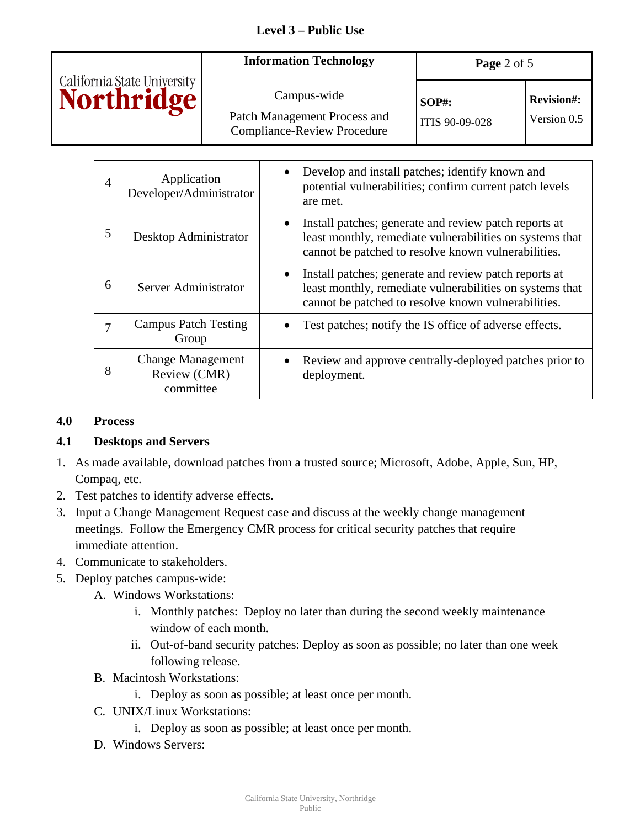|                                                  | <b>Information Technology</b>                                      | Page 2 of 5    |                   |
|--------------------------------------------------|--------------------------------------------------------------------|----------------|-------------------|
| California State University<br><b>Northridge</b> | Campus-wide                                                        | $SOP#$ :       | <b>Revision#:</b> |
|                                                  | Patch Management Process and<br><b>Compliance-Review Procedure</b> | ITIS 90-09-028 | Version 0.5       |

| 4 | Application<br>Developer/Administrator                | Develop and install patches; identify known and<br>$\bullet$<br>potential vulnerabilities; confirm current patch levels<br>are met.                                                   |
|---|-------------------------------------------------------|---------------------------------------------------------------------------------------------------------------------------------------------------------------------------------------|
| 5 | Desktop Administrator                                 | Install patches; generate and review patch reports at<br>$\bullet$<br>least monthly, remediate vulnerabilities on systems that<br>cannot be patched to resolve known vulnerabilities. |
| 6 | Server Administrator                                  | Install patches; generate and review patch reports at<br>least monthly, remediate vulnerabilities on systems that<br>cannot be patched to resolve known vulnerabilities.              |
| 7 | <b>Campus Patch Testing</b><br>Group                  | Test patches; notify the IS office of adverse effects.                                                                                                                                |
| 8 | <b>Change Management</b><br>Review (CMR)<br>committee | Review and approve centrally-deployed patches prior to<br>deployment.                                                                                                                 |

#### **4.0 Process**

#### **4.1 Desktops and Servers**

- 1. As made available, download patches from a trusted source; Microsoft, Adobe, Apple, Sun, HP, Compaq, etc.
- 2. Test patches to identify adverse effects.
- 3. Input a Change Management Request case and discuss at the weekly change management meetings. Follow the Emergency CMR process for critical security patches that require immediate attention.
- 4. Communicate to stakeholders.
- 5. Deploy patches campus-wide:
	- A. Windows Workstations:
		- i. Monthly patches: Deploy no later than during the second weekly maintenance window of each month.
		- ii. Out-of-band security patches: Deploy as soon as possible; no later than one week following release.
	- B. Macintosh Workstations:
		- i. Deploy as soon as possible; at least once per month.
	- C. UNIX/Linux Workstations:
		- i. Deploy as soon as possible; at least once per month.
	- D. Windows Servers: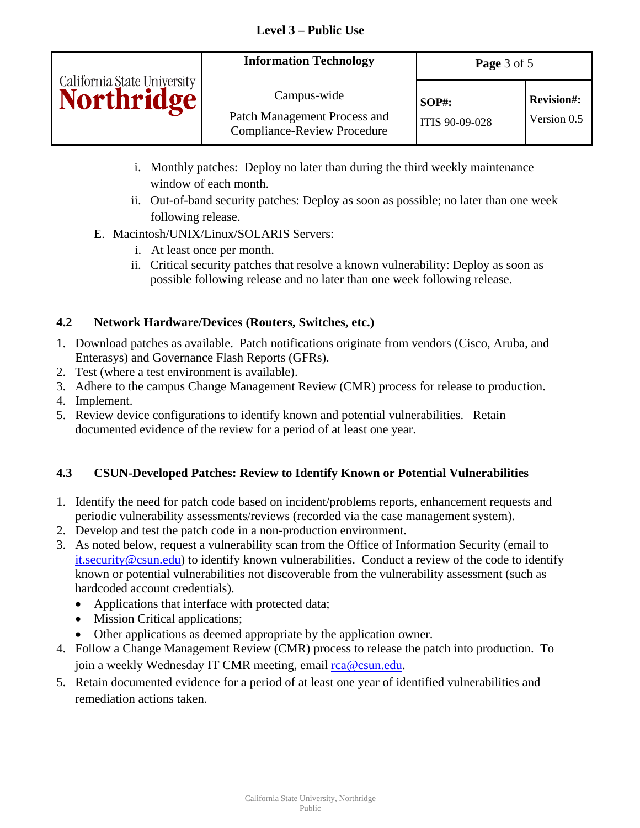|                                           | <b>Information Technology</b>                                                     | Page 3 of 5                |                                  |
|-------------------------------------------|-----------------------------------------------------------------------------------|----------------------------|----------------------------------|
| California State University<br>Northridge | Campus-wide<br>Patch Management Process and<br><b>Compliance-Review Procedure</b> | $SOP#$ :<br>ITIS 90-09-028 | <b>Revision#:</b><br>Version 0.5 |

- i. Monthly patches: Deploy no later than during the third weekly maintenance window of each month.
- ii. Out-of-band security patches: Deploy as soon as possible; no later than one week following release.
- E. Macintosh/UNIX/Linux/SOLARIS Servers:
	- i. At least once per month.
	- ii. Critical security patches that resolve a known vulnerability: Deploy as soon as possible following release and no later than one week following release.

# **4.2 Network Hardware/Devices (Routers, Switches, etc.)**

- 1. Download patches as available. Patch notifications originate from vendors (Cisco, Aruba, and Enterasys) and Governance Flash Reports (GFRs).
- 2. Test (where a test environment is available).
- 3. Adhere to the campus Change Management Review (CMR) process for release to production.
- 4. Implement.
- 5. Review device configurations to identify known and potential vulnerabilities. Retain documented evidence of the review for a period of at least one year.

# **4.3 CSUN-Developed Patches: Review to Identify Known or Potential Vulnerabilities**

- 1. Identify the need for patch code based on incident/problems reports, enhancement requests and periodic vulnerability assessments/reviews (recorded via the case management system).
- 2. Develop and test the patch code in a non-production environment.
- 3. As noted below, request a vulnerability scan from the Office of Information Security (email to [it.security@csun.edu](mailto:it.security@csun.edu)) to identify known vulnerabilities. Conduct a review of the code to identify known or potential vulnerabilities not discoverable from the vulnerability assessment (such as hardcoded account credentials).
	- Applications that interface with protected data;
	- Mission Critical applications;
	- Other applications as deemed appropriate by the application owner.
- 4. Follow a Change Management Review (CMR) process to release the patch into production. To join a weekly Wednesday IT CMR meeting, email [rca@csun.edu.](mailto:rca@csun.edu)
- 5. Retain documented evidence for a period of at least one year of identified vulnerabilities and remediation actions taken.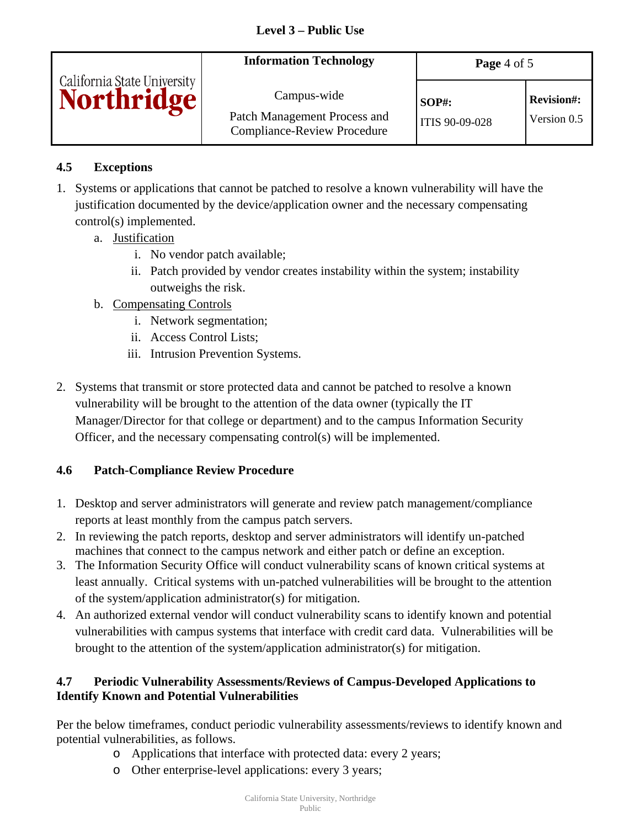|                                                  | <b>Information Technology</b>                                                     | Page 4 of 5                           |                                  |
|--------------------------------------------------|-----------------------------------------------------------------------------------|---------------------------------------|----------------------------------|
| California State University<br><b>Northridge</b> | Campus-wide<br>Patch Management Process and<br><b>Compliance-Review Procedure</b> | <b>SOP#:</b><br><b>ITIS 90-09-028</b> | <b>Revision#:</b><br>Version 0.5 |

# **4.5 Exceptions**

- 1. Systems or applications that cannot be patched to resolve a known vulnerability will have the justification documented by the device/application owner and the necessary compensating control(s) implemented.
	- a. Justification
		- i. No vendor patch available;
		- ii. Patch provided by vendor creates instability within the system; instability outweighs the risk.
	- b. Compensating Controls
		- i. Network segmentation;
		- ii. Access Control Lists;
		- iii. Intrusion Prevention Systems.
- 2. Systems that transmit or store protected data and cannot be patched to resolve a known vulnerability will be brought to the attention of the data owner (typically the IT Manager/Director for that college or department) and to the campus Information Security Officer, and the necessary compensating control(s) will be implemented.

# **4.6 Patch-Compliance Review Procedure**

- 1. Desktop and server administrators will generate and review patch management/compliance reports at least monthly from the campus patch servers.
- 2. In reviewing the patch reports, desktop and server administrators will identify un-patched machines that connect to the campus network and either patch or define an exception.
- 3. The Information Security Office will conduct vulnerability scans of known critical systems at least annually. Critical systems with un-patched vulnerabilities will be brought to the attention of the system/application administrator(s) for mitigation.
- 4. An authorized external vendor will conduct vulnerability scans to identify known and potential vulnerabilities with campus systems that interface with credit card data. Vulnerabilities will be brought to the attention of the system/application administrator(s) for mitigation.

# **4.7 Periodic Vulnerability Assessments/Reviews of Campus-Developed Applications to Identify Known and Potential Vulnerabilities**

Per the below timeframes, conduct periodic vulnerability assessments/reviews to identify known and potential vulnerabilities, as follows.

- o Applications that interface with protected data: every 2 years;
- o Other enterprise-level applications: every 3 years;